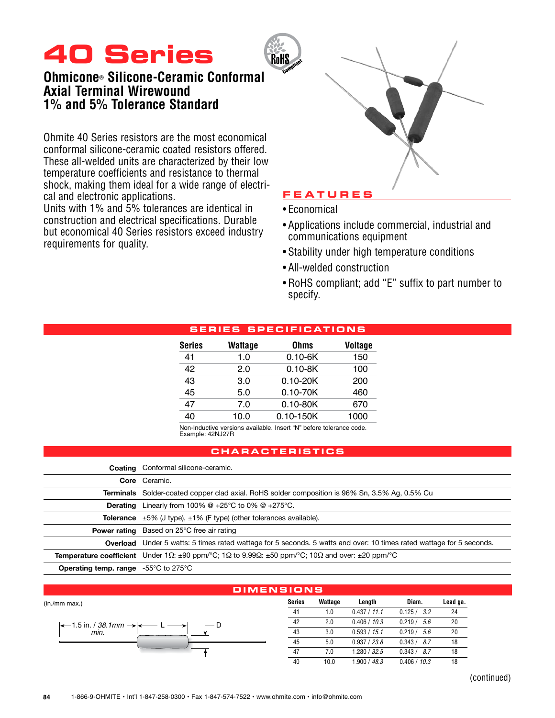# **40 Series**

# **Ohmicone® Silicone-Ceramic Conformal Axial Terminal Wirewound 1% and 5% Tolerance Standard**

Ohmite 40 Series resistors are the most economical conformal silicone-ceramic coated resistors offered. These all-welded units are characterized by their low temperature coefficients and resistance to thermal shock, making them ideal for a wide range of electrical and electronic applications.

Units with 1% and 5% tolerances are identical in construction and electrical specifications. Durable but economical 40 Series resistors exceed industry requirements for quality.



## **F e a t u r e s**

- • Economical
- • Applications include commercial, industrial and communications equipment
- Stability under high temperature conditions
- All-welded construction
- RoHS compliant; add "E" suffix to part number to specify.

## **Serie s SP E C I F I C ATI ONS**

| Series | <b>Wattage</b> | <b>Ohms</b>   | <b>Voltage</b> |
|--------|----------------|---------------|----------------|
| 41     | 1.0            | $0.10 - 6K$   | 150            |
| 42     | 2.0            | $0.10 - 8K$   | 100            |
| 43     | 3.0            | $0.10 - 20K$  | 200            |
| 45     | 5.0            | $0.10 - 70K$  | 460            |
| 47     | 7.0            | $0.10 - 80K$  | 670            |
| 40     | 10.0           | $0.10 - 150K$ | 1000           |
|        |                |               |                |

Non-Inductive versions available. Insert "N" before tolerance code. Example: 42NJ27R

## **Chara c teri s t i cs**

|                                                                  | <b>Coating</b> Conformal silicone-ceramic.                                                                                                              |
|------------------------------------------------------------------|---------------------------------------------------------------------------------------------------------------------------------------------------------|
|                                                                  | Core Ceramic.                                                                                                                                           |
|                                                                  | <b>Terminals</b> Solder-coated copper clad axial. RoHS solder composition is 96% Sn, 3.5% Ag, 0.5% Cu                                                   |
| Derating                                                         | Linearly from 100% $@ + 25^{\circ}C$ to 0% $@ + 275^{\circ}C$ .                                                                                         |
|                                                                  | <b>Tolerance</b> $\pm 5\%$ (J type), $\pm 1\%$ (F type) (other tolerances available).                                                                   |
|                                                                  | <b>Power rating</b> Based on 25°C free air rating                                                                                                       |
|                                                                  | <b>Overload</b> Under 5 watts: 5 times rated wattage for 5 seconds. 5 watts and over: 10 times rated wattage for 5 seconds.                             |
|                                                                  | <b>Temperature coefficient</b> Under 1 $\Omega$ : $\pm 90$ ppm/°C; 1 $\Omega$ to 9.99 $\Omega$ : $\pm 50$ ppm/°C; 10 $\Omega$ and over: $\pm 20$ ppm/°C |
| <b>Operating temp. range</b> $-55^{\circ}$ C to 275 $^{\circ}$ C |                                                                                                                                                         |

#### **Series Wattage Length Diam. Lead ga.** 41 1.0 0.437 / *11.1* 0.125 / *3.2* 24 42 2.0 0.406 / *10.3* 0.219 / *5.6* 20 43 3.0 0.593 / *15.1* 0.219 / *5.6* 20 45 5.0 0.937 / *23.8* 0.343 / *8.7* 18 47 7.0 1.280 / *32.5* 0.343 / *8.7* 18 40 10.0 1.900 / *48.3* 0.406 / *10.3* 18 1.5 in. / 38.1mm *min.* **Dime ns i ons** (in./mm max.)

(continued)